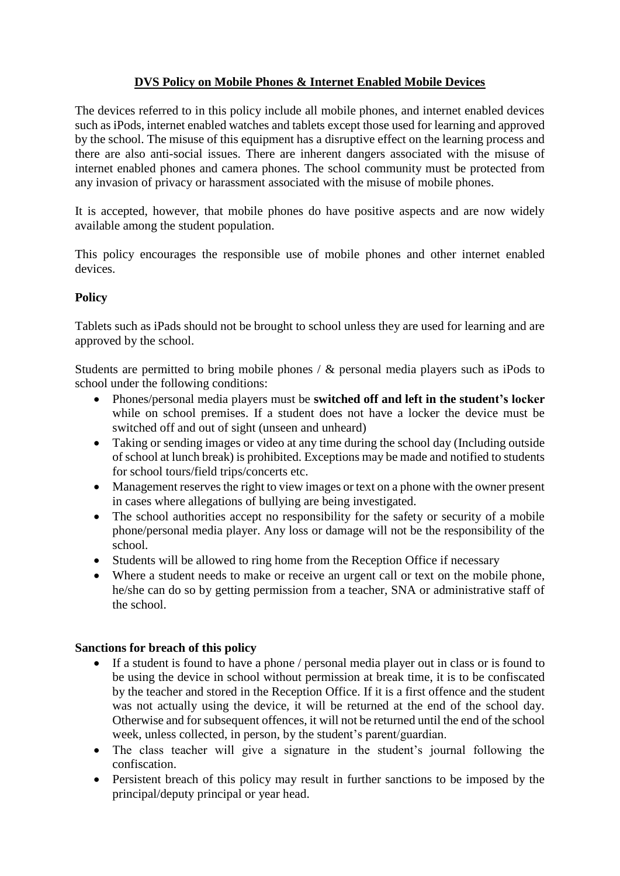# **DVS Policy on Mobile Phones & Internet Enabled Mobile Devices**

The devices referred to in this policy include all mobile phones, and internet enabled devices such as iPods, internet enabled watches and tablets except those used for learning and approved by the school. The misuse of this equipment has a disruptive effect on the learning process and there are also anti-social issues. There are inherent dangers associated with the misuse of internet enabled phones and camera phones. The school community must be protected from any invasion of privacy or harassment associated with the misuse of mobile phones.

It is accepted, however, that mobile phones do have positive aspects and are now widely available among the student population.

This policy encourages the responsible use of mobile phones and other internet enabled devices.

## **Policy**

Tablets such as iPads should not be brought to school unless they are used for learning and are approved by the school.

Students are permitted to bring mobile phones / & personal media players such as iPods to school under the following conditions:

- Phones/personal media players must be **switched off and left in the student's locker** while on school premises. If a student does not have a locker the device must be switched off and out of sight (unseen and unheard)
- Taking or sending images or video at any time during the school day (Including outside of school at lunch break) is prohibited. Exceptions may be made and notified to students for school tours/field trips/concerts etc.
- Management reserves the right to view images or text on a phone with the owner present in cases where allegations of bullying are being investigated.
- The school authorities accept no responsibility for the safety or security of a mobile phone/personal media player. Any loss or damage will not be the responsibility of the school.
- Students will be allowed to ring home from the Reception Office if necessary
- Where a student needs to make or receive an urgent call or text on the mobile phone, he/she can do so by getting permission from a teacher, SNA or administrative staff of the school.

### **Sanctions for breach of this policy**

- If a student is found to have a phone / personal media player out in class or is found to be using the device in school without permission at break time, it is to be confiscated by the teacher and stored in the Reception Office. If it is a first offence and the student was not actually using the device, it will be returned at the end of the school day. Otherwise and for subsequent offences, it will not be returned until the end of the school week, unless collected, in person, by the student's parent/guardian.
- The class teacher will give a signature in the student's journal following the confiscation.
- Persistent breach of this policy may result in further sanctions to be imposed by the principal/deputy principal or year head.